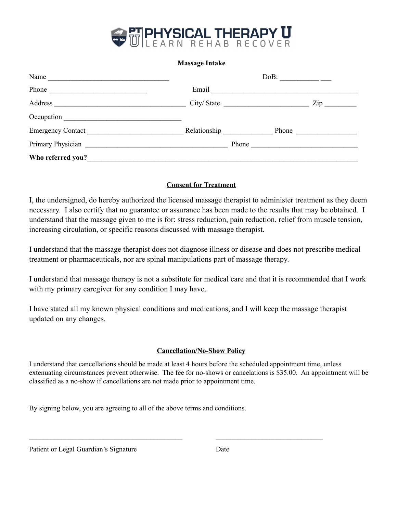

## **Massage Intake**

| Name                        |            | $DoB:$ _________ |
|-----------------------------|------------|------------------|
| Phone                       | Email      |                  |
| Address                     | City/State | $\mathbf{Zip}$   |
| Occupation <u>contracts</u> |            |                  |
| Emergency Contact           |            |                  |
|                             |            |                  |
| Who referred you?           |            |                  |

## **Consent for Treatment**

I, the undersigned, do hereby authorized the licensed massage therapist to administer treatment as they deem necessary. I also certify that no guarantee or assurance has been made to the results that may be obtained. I understand that the massage given to me is for: stress reduction, pain reduction, relief from muscle tension, increasing circulation, or specific reasons discussed with massage therapist.

I understand that the massage therapist does not diagnose illness or disease and does not prescribe medical treatment or pharmaceuticals, nor are spinal manipulations part of massage therapy.

I understand that massage therapy is not a substitute for medical care and that it is recommended that I work with my primary caregiver for any condition I may have.

I have stated all my known physical conditions and medications, and I will keep the massage therapist updated on any changes.

## **Cancellation/No-Show Policy**

I understand that cancellations should be made at least 4 hours before the scheduled appointment time, unless extenuating circumstances prevent otherwise. The fee for no-shows or cancelations is \$35.00. An appointment will be classified as a no-show if cancellations are not made prior to appointment time.

 $\mathcal{L}_\text{max} = \frac{1}{2} \sum_{i=1}^n \mathcal{L}_\text{max}(\mathbf{z}_i - \mathbf{z}_i)$ 

By signing below, you are agreeing to all of the above terms and conditions.

Patient or Legal Guardian's Signature Date